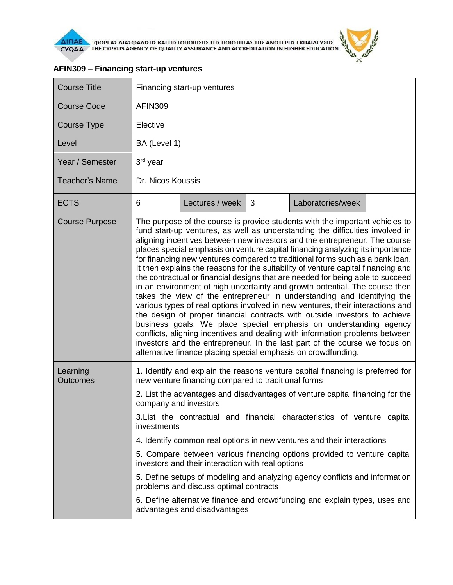

| <b>Course Title</b>                                                                                        | Financing start-up ventures                                                                                                                                                                                                                                                                                                                                                                                                                                                                                                                                                                                                                                                                                                                                                                                                                                                                                                                                                                                                                                                                                                                                                                                        |                 |   |                   |  |  |  |
|------------------------------------------------------------------------------------------------------------|--------------------------------------------------------------------------------------------------------------------------------------------------------------------------------------------------------------------------------------------------------------------------------------------------------------------------------------------------------------------------------------------------------------------------------------------------------------------------------------------------------------------------------------------------------------------------------------------------------------------------------------------------------------------------------------------------------------------------------------------------------------------------------------------------------------------------------------------------------------------------------------------------------------------------------------------------------------------------------------------------------------------------------------------------------------------------------------------------------------------------------------------------------------------------------------------------------------------|-----------------|---|-------------------|--|--|--|
| Course Code                                                                                                | <b>AFIN309</b>                                                                                                                                                                                                                                                                                                                                                                                                                                                                                                                                                                                                                                                                                                                                                                                                                                                                                                                                                                                                                                                                                                                                                                                                     |                 |   |                   |  |  |  |
| Course Type                                                                                                | Elective                                                                                                                                                                                                                                                                                                                                                                                                                                                                                                                                                                                                                                                                                                                                                                                                                                                                                                                                                                                                                                                                                                                                                                                                           |                 |   |                   |  |  |  |
| Level                                                                                                      | BA (Level 1)                                                                                                                                                                                                                                                                                                                                                                                                                                                                                                                                                                                                                                                                                                                                                                                                                                                                                                                                                                                                                                                                                                                                                                                                       |                 |   |                   |  |  |  |
| Year / Semester                                                                                            | 3 <sup>rd</sup> year                                                                                                                                                                                                                                                                                                                                                                                                                                                                                                                                                                                                                                                                                                                                                                                                                                                                                                                                                                                                                                                                                                                                                                                               |                 |   |                   |  |  |  |
| <b>Teacher's Name</b>                                                                                      | Dr. Nicos Koussis                                                                                                                                                                                                                                                                                                                                                                                                                                                                                                                                                                                                                                                                                                                                                                                                                                                                                                                                                                                                                                                                                                                                                                                                  |                 |   |                   |  |  |  |
| <b>ECTS</b>                                                                                                | 6                                                                                                                                                                                                                                                                                                                                                                                                                                                                                                                                                                                                                                                                                                                                                                                                                                                                                                                                                                                                                                                                                                                                                                                                                  | Lectures / week | 3 | Laboratories/week |  |  |  |
| <b>Course Purpose</b>                                                                                      | The purpose of the course is provide students with the important vehicles to<br>fund start-up ventures, as well as understanding the difficulties involved in<br>aligning incentives between new investors and the entrepreneur. The course<br>places special emphasis on venture capital financing analyzing its importance<br>for financing new ventures compared to traditional forms such as a bank loan.<br>It then explains the reasons for the suitability of venture capital financing and<br>the contractual or financial designs that are needed for being able to succeed<br>in an environment of high uncertainty and growth potential. The course then<br>takes the view of the entrepreneur in understanding and identifying the<br>various types of real options involved in new ventures, their interactions and<br>the design of proper financial contracts with outside investors to achieve<br>business goals. We place special emphasis on understanding agency<br>conflicts, aligning incentives and dealing with information problems between<br>investors and the entrepreneur. In the last part of the course we focus on<br>alternative finance placing special emphasis on crowdfunding. |                 |   |                   |  |  |  |
| Learning<br><b>Outcomes</b>                                                                                | 1. Identify and explain the reasons venture capital financing is preferred for<br>new venture financing compared to traditional forms                                                                                                                                                                                                                                                                                                                                                                                                                                                                                                                                                                                                                                                                                                                                                                                                                                                                                                                                                                                                                                                                              |                 |   |                   |  |  |  |
|                                                                                                            | 2. List the advantages and disadvantages of venture capital financing for the<br>company and investors                                                                                                                                                                                                                                                                                                                                                                                                                                                                                                                                                                                                                                                                                                                                                                                                                                                                                                                                                                                                                                                                                                             |                 |   |                   |  |  |  |
|                                                                                                            | 3. List the contractual and financial characteristics of venture capital<br>investments                                                                                                                                                                                                                                                                                                                                                                                                                                                                                                                                                                                                                                                                                                                                                                                                                                                                                                                                                                                                                                                                                                                            |                 |   |                   |  |  |  |
|                                                                                                            | 4. Identify common real options in new ventures and their interactions                                                                                                                                                                                                                                                                                                                                                                                                                                                                                                                                                                                                                                                                                                                                                                                                                                                                                                                                                                                                                                                                                                                                             |                 |   |                   |  |  |  |
|                                                                                                            | 5. Compare between various financing options provided to venture capital<br>investors and their interaction with real options                                                                                                                                                                                                                                                                                                                                                                                                                                                                                                                                                                                                                                                                                                                                                                                                                                                                                                                                                                                                                                                                                      |                 |   |                   |  |  |  |
|                                                                                                            | 5. Define setups of modeling and analyzing agency conflicts and information<br>problems and discuss optimal contracts                                                                                                                                                                                                                                                                                                                                                                                                                                                                                                                                                                                                                                                                                                                                                                                                                                                                                                                                                                                                                                                                                              |                 |   |                   |  |  |  |
| 6. Define alternative finance and crowdfunding and explain types, uses and<br>advantages and disadvantages |                                                                                                                                                                                                                                                                                                                                                                                                                                                                                                                                                                                                                                                                                                                                                                                                                                                                                                                                                                                                                                                                                                                                                                                                                    |                 |   |                   |  |  |  |

## **AFIN309 – Financing start-up ventures**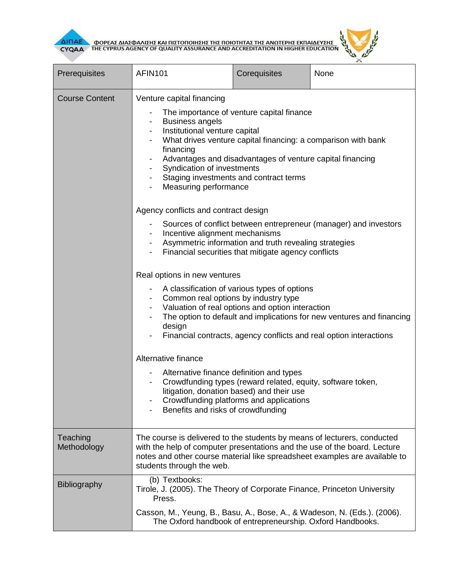

т

**AITIAE OPEAE AIAZOANIZHE KAI TIIZTOTIOIHEHE THE TOIOTHTAE THE ANOTEPHE EKTIAIAEYEHE** 

Т



┓

٦

| Prerequisites           | <b>AFIN101</b>                                                                                                                                                                                                                                                                                                                                                                | Corequisites                                                                                                                                                                                                                          | None |  |  |  |
|-------------------------|-------------------------------------------------------------------------------------------------------------------------------------------------------------------------------------------------------------------------------------------------------------------------------------------------------------------------------------------------------------------------------|---------------------------------------------------------------------------------------------------------------------------------------------------------------------------------------------------------------------------------------|------|--|--|--|
| <b>Course Content</b>   | Venture capital financing<br>The importance of venture capital finance<br><b>Business angels</b><br>Institutional venture capital<br>What drives venture capital financing: a comparison with bank<br>financing<br>Advantages and disadvantages of venture capital financing<br>Syndication of investments<br>Staging investments and contract terms<br>Measuring performance |                                                                                                                                                                                                                                       |      |  |  |  |
|                         | Agency conflicts and contract design<br>Sources of conflict between entrepreneur (manager) and investors<br>Incentive alignment mechanisms<br>Asymmetric information and truth revealing strategies<br>Financial securities that mitigate agency conflicts                                                                                                                    |                                                                                                                                                                                                                                       |      |  |  |  |
|                         | Real options in new ventures<br>A classification of various types of options<br>Common real options by industry type<br>Valuation of real options and option interaction<br>The option to default and implications for new ventures and financing<br>design<br>Financial contracts, agency conflicts and real option interactions                                             |                                                                                                                                                                                                                                       |      |  |  |  |
|                         | Alternative finance                                                                                                                                                                                                                                                                                                                                                           | Alternative finance definition and types<br>Crowdfunding types (reward related, equity, software token,<br>litigation, donation based) and their use<br>Crowdfunding platforms and applications<br>Benefits and risks of crowdfunding |      |  |  |  |
| Teaching<br>Methodology | The course is delivered to the students by means of lecturers, conducted<br>with the help of computer presentations and the use of the board. Lecture<br>notes and other course material like spreadsheet examples are available to<br>students through the web.                                                                                                              |                                                                                                                                                                                                                                       |      |  |  |  |
| <b>Bibliography</b>     | (b) Textbooks:<br>Tirole, J. (2005). The Theory of Corporate Finance, Princeton University<br>Press.<br>Casson, M., Yeung, B., Basu, A., Bose, A., & Wadeson, N. (Eds.). (2006).<br>The Oxford handbook of entrepreneurship. Oxford Handbooks.                                                                                                                                |                                                                                                                                                                                                                                       |      |  |  |  |